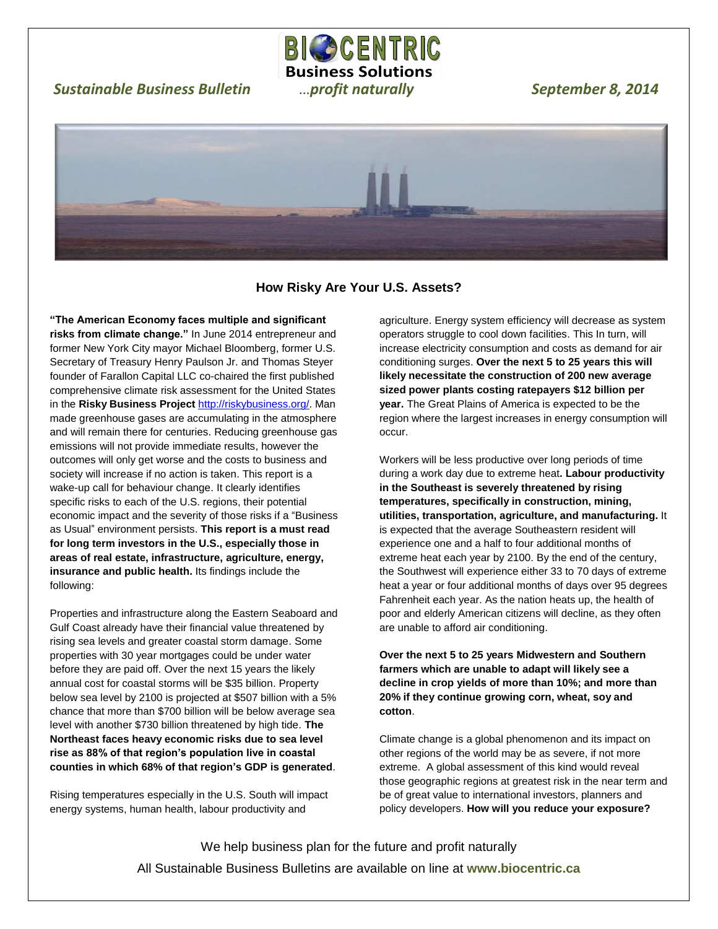# *Sustainable Business Bulletin* …*profit naturally September 8, 2014*





 $\overline{a}$ 

**BICOCENTRIC Business Solutions**

**How Risky Are Your U.S. Assets?**

**"The American Economy faces multiple and significant risks from climate change."** In June 2014 entrepreneur and former New York City mayor Michael Bloomberg, former U.S. Secretary of Treasury Henry Paulson Jr. and Thomas Steyer founder of Farallon Capital LLC co-chaired the first published comprehensive climate risk assessment for the United States in the **Risky Business Project** [http://riskybusiness.org/.](http://riskybusiness.org/) Man made greenhouse gases are accumulating in the atmosphere and will remain there for centuries. Reducing greenhouse gas emissions will not provide immediate results, however the outcomes will only get worse and the costs to business and society will increase if no action is taken. This report is a wake-up call for behaviour change. It clearly identifies specific risks to each of the U.S. regions, their potential economic impact and the severity of those risks if a "Business as Usual" environment persists. **This report is a must read for long term investors in the U.S., especially those in areas of real estate, infrastructure, agriculture, energy, insurance and public health.** Its findings include the following:

Properties and infrastructure along the Eastern Seaboard and Gulf Coast already have their financial value threatened by rising sea levels and greater coastal storm damage. Some properties with 30 year mortgages could be under water before they are paid off. Over the next 15 years the likely annual cost for coastal storms will be \$35 billion. Property below sea level by 2100 is projected at \$507 billion with a 5% chance that more than \$700 billion will be below average sea level with another \$730 billion threatened by high tide. **The Northeast faces heavy economic risks due to sea level rise as 88% of that region's population live in coastal counties in which 68% of that region's GDP is generated**.

Rising temperatures especially in the U.S. South will impact energy systems, human health, labour productivity and

agriculture. Energy system efficiency will decrease as system operators struggle to cool down facilities. This In turn, will increase electricity consumption and costs as demand for air conditioning surges. **Over the next 5 to 25 years this will likely necessitate the construction of 200 new average sized power plants costing ratepayers \$12 billion per year.** The Great Plains of America is expected to be the region where the largest increases in energy consumption will occur.

Workers will be less productive over long periods of time during a work day due to extreme heat**. Labour productivity in the Southeast is severely threatened by rising temperatures, specifically in construction, mining, utilities, transportation, agriculture, and manufacturing.** It is expected that the average Southeastern resident will experience one and a half to four additional months of extreme heat each year by 2100. By the end of the century, the Southwest will experience either 33 to 70 days of extreme heat a year or four additional months of days over 95 degrees Fahrenheit each year. As the nation heats up, the health of poor and elderly American citizens will decline, as they often are unable to afford air conditioning.

**Over the next 5 to 25 years Midwestern and Southern farmers which are unable to adapt will likely see a decline in crop yields of more than 10%; and more than 20% if they continue growing corn, wheat, soy and cotton**.

Climate change is a global phenomenon and its impact on other regions of the world may be as severe, if not more extreme. A global assessment of this kind would reveal those geographic regions at greatest risk in the near term and be of great value to international investors, planners and policy developers. **How will you reduce your exposure?**

We help business plan for the future and profit naturally All Sustainable Business Bulletins are available on line at **www.biocentric.ca**